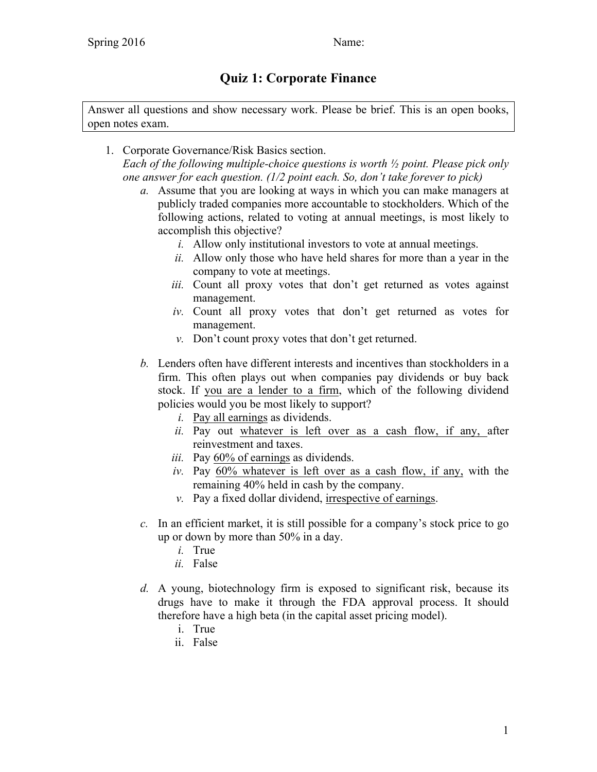## **Quiz 1: Corporate Finance**

Answer all questions and show necessary work. Please be brief. This is an open books, open notes exam.

- 1. Corporate Governance/Risk Basics section. *Each of the following multiple-choice questions is worth ½ point. Please pick only one answer for each question. (1/2 point each. So, don't take forever to pick)*
	- *a.* Assume that you are looking at ways in which you can make managers at publicly traded companies more accountable to stockholders. Which of the following actions, related to voting at annual meetings, is most likely to accomplish this objective?
		- *i.* Allow only institutional investors to vote at annual meetings.
		- *ii.* Allow only those who have held shares for more than a year in the company to vote at meetings.
		- *iii.* Count all proxy votes that don't get returned as votes against management.
		- *iv.* Count all proxy votes that don't get returned as votes for management.
		- *v.* Don't count proxy votes that don't get returned.
	- *b.* Lenders often have different interests and incentives than stockholders in a firm. This often plays out when companies pay dividends or buy back stock. If you are a lender to a firm, which of the following dividend policies would you be most likely to support?
		- *i.* Pay all earnings as dividends.
		- *ii.* Pay out whatever is left over as a cash flow, if any, after reinvestment and taxes.
		- *iii.* Pay 60% of earnings as dividends.
		- *iv.* Pay 60% whatever is left over as a cash flow, if any, with the remaining 40% held in cash by the company.
		- *v.* Pay a fixed dollar dividend, irrespective of earnings.
	- *c.* In an efficient market, it is still possible for a company's stock price to go up or down by more than 50% in a day.
		- *i.* True
		- *ii.* False
	- *d.* A young, biotechnology firm is exposed to significant risk, because its drugs have to make it through the FDA approval process. It should therefore have a high beta (in the capital asset pricing model).
		- i. True
		- ii. False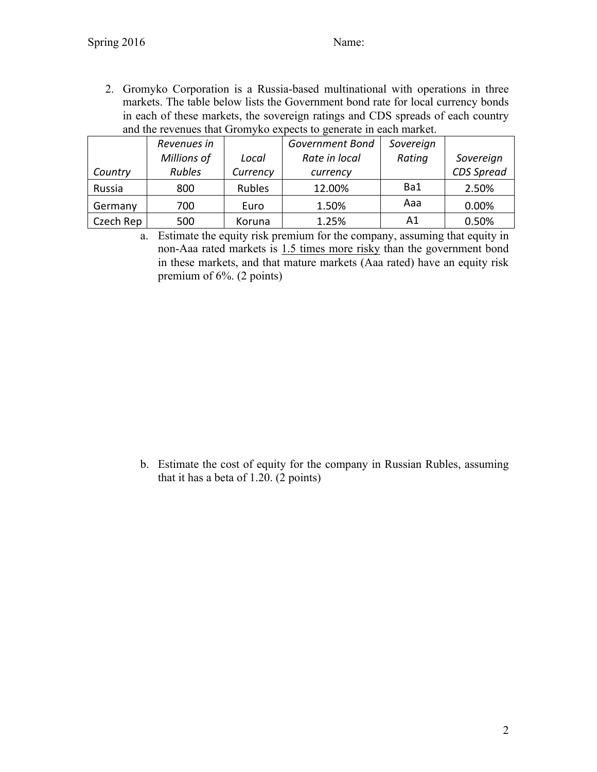2. Gromyko Corporation is a Russia-based multinational with operations in three markets. The table below lists the Government bond rate for local currency bonds in each of these markets, the sovereign ratings and CDS spreads of each country and the revenues that Gromyko expects to generate in each market.

|           | Revenues in   |          | <b>Government Bond</b> | Sovereign |            |
|-----------|---------------|----------|------------------------|-----------|------------|
|           | Millions of   | Local    | Rate in local          | Rating    | Sovereign  |
| Country   | <b>Rubles</b> | Currency | currency               |           | CDS Spread |
| Russia    | 800           | Rubles   | 12.00%                 | Ba1       | 2.50%      |
| Germany   | 700           | Euro     | 1.50%                  | Aaa       | 0.00%      |
| Czech Rep | 500           | Koruna   | 1.25%                  | A1        | 0.50%      |

a. Estimate the equity risk premium for the company, assuming that equity in non-Aaa rated markets is 1.5 times more risky than the government bond in these markets, and that mature markets (Aaa rated) have an equity risk premium of 6%. (2 points)

b. Estimate the cost of equity for the company in Russian Rubles, assuming that it has a beta of 1.20. (2 points)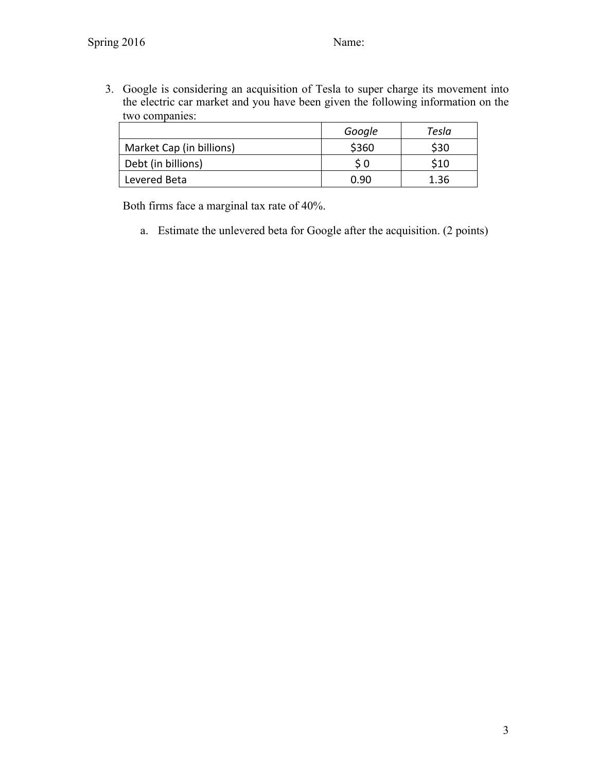3. Google is considering an acquisition of Tesla to super charge its movement into the electric car market and you have been given the following information on the two companies:

|                          | Google | Tesla |
|--------------------------|--------|-------|
| Market Cap (in billions) | \$360  | \$30  |
| Debt (in billions)       | S 0    | \$10  |
| Levered Beta             | በ ዓበ   | 1.36  |

Both firms face a marginal tax rate of 40%.

a. Estimate the unlevered beta for Google after the acquisition. (2 points)